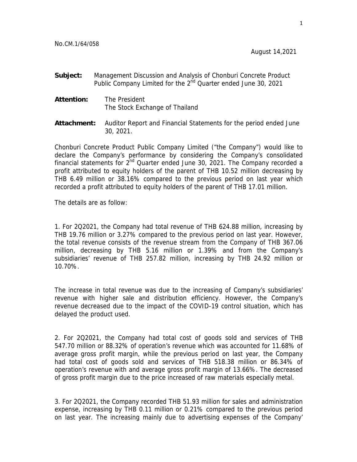- **Subject:** Management Discussion and Analysis of Chonburi Concrete Product Public Company Limited for the 2<sup>nd</sup> Quarter ended June 30, 2021
- **Attention:** The President The Stock Exchange of Thailand
- **Attachment:** Auditor Report and Financial Statements for the period ended June 30, 2021.

Chonburi Concrete Product Public Company Limited ("the Company") would like to declare the Company's performance by considering the Company's consolidated financial statements for  $2^{nd}$  Quarter ended June 30, 2021. The Company recorded a profit attributed to equity holders of the parent of THB 10.52 million decreasing by THB 6.49 million or 38.16% compared to the previous period on last year which recorded a profit attributed to equity holders of the parent of THB 17.01 million.

The details are as follow:

1. For 2Q2021, the Company had total revenue of THB 624.88 million, increasing by THB 19.76 million or 3.27% compared to the previous period on last year. However, the total revenue consists of the revenue stream from the Company of THB 367.06 million, decreasing by THB 5.16 million or 1.39% and from the Company's subsidiaries' revenue of THB 257.82 million, increasing by THB 24.92 million or 10.70%.

The increase in total revenue was due to the increasing of Company's subsidiaries' revenue with higher sale and distribution efficiency. However, the Company's revenue decreased due to the impact of the COVID-19 control situation, which has delayed the product used.

2. For 2Q2021, the Company had total cost of goods sold and services of THB 547.70 million or 88.32% of operation's revenue which was accounted for 11.68% of average gross profit margin, while the previous period on last year, the Company had total cost of goods sold and services of THB 518.38 million or 86.34% of operation's revenue with and average gross profit margin of 13.66%. The decreased of gross profit margin due to the price increased of raw materials especially metal.

3. For 2Q2021, the Company recorded THB 51.93 million for sales and administration expense, increasing by THB 0.11 million or 0.21% compared to the previous period on last year. The increasing mainly due to advertising expenses of the Company'